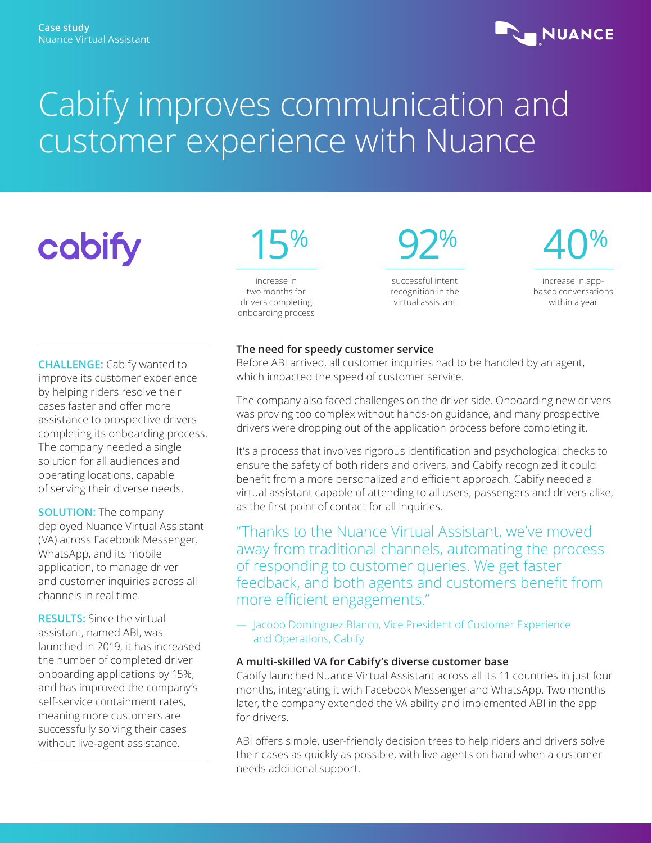### **NUANCE**

## Cabify improves communication and customer experience with Nuance

# cobify

**CHALLENGE:** Cabify wanted to improve its customer experience by helping riders resolve their cases faster and offer more assistance to prospective drivers completing its onboarding process. The company needed a single solution for all audiences and operating locations, capable of serving their diverse needs.

#### **SOLUTION:** The company deployed Nuance Virtual Assistant (VA) across Facebook Messenger, WhatsApp, and its mobile application, to manage driver and customer inquiries across all channels in real time.

**RESULTS:** Since the virtual assistant, named ABI, was launched in 2019, it has increased the number of completed driver onboarding applications by 15%, and has improved the company's self-service containment rates, meaning more customers are successfully solving their cases without live-agent assistance.

15%

increase in two months for drivers completing onboarding process 92%

successful intent recognition in the virtual assistant



increase in appbased conversations within a year

#### **The need for speedy customer service**

Before ABI arrived, all customer inquiries had to be handled by an agent, which impacted the speed of customer service.

The company also faced challenges on the driver side. Onboarding new drivers was proving too complex without hands-on guidance, and many prospective drivers were dropping out of the application process before completing it.

It's a process that involves rigorous identification and psychological checks to ensure the safety of both riders and drivers, and Cabify recognized it could benefit from a more personalized and efficient approach. Cabify needed a virtual assistant capable of attending to all users, passengers and drivers alike, as the first point of contact for all inquiries.

"Thanks to the Nuance Virtual Assistant, we've moved away from traditional channels, automating the process of responding to customer queries. We get faster feedback, and both agents and customers benefit from more efficient engagements."

#### — Jacobo Dominguez Blanco, Vice President of Customer Experience and Operations, Cabify

#### **A multi-skilled VA for Cabify's diverse customer base**

Cabify launched Nuance Virtual Assistant across all its 11 countries in just four months, integrating it with Facebook Messenger and WhatsApp. Two months later, the company extended the VA ability and implemented ABI in the app for drivers.

ABI offers simple, user-friendly decision trees to help riders and drivers solve their cases as quickly as possible, with live agents on hand when a customer needs additional support.